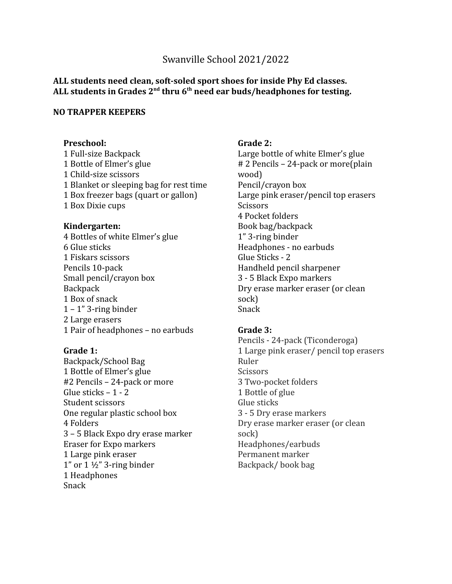# Swanville School 2021/2022

# **ALL students need clean, soft-soled sport shoes for inside Phy Ed classes. ALL students in Grades 2nd thru 6th need ear buds/headphones for testing.**

#### **NO TRAPPER KEEPERS**

# **Preschool:**

1 Full-size Backpack 1 Bottle of Elmer's glue 1 Child-size scissors 1 Blanket or sleeping bag for rest time 1 Box freezer bags (quart or gallon) 1 Box Dixie cups

#### **Kindergarten:**

4 Bottles of white Elmer's glue 6 Glue sticks 1 Fiskars scissors Pencils 10-pack Small pencil/crayon box **Backpack** 1 Box of snack  $1 - 1$ " 3-ring binder 2 Large erasers 1 Pair of headphones – no earbuds

#### **Grade 1:**

Backpack/School Bag 1 Bottle of Elmer's glue #2 Pencils – 24-pack or more Glue sticks – 1 - 2 Student scissors One regular plastic school box 4 Folders 3 – 5 Black Expo dry erase marker Eraser for Expo markers 1 Large pink eraser  $1$ " or  $1 \frac{1}{2}$ " 3-ring binder 1 Headphones Snack

### **Grade 2:**

Large bottle of white Elmer's glue # 2 Pencils – 24-pack or more(plain wood) Pencil/crayon box Large pink eraser/pencil top erasers **Scissors** 4 Pocket folders Book bag/backpack 1" 3-ring binder Headphones - no earbuds Glue Sticks - 2 Handheld pencil sharpener 3 - 5 Black Expo markers Dry erase marker eraser (or clean sock) Snack

#### **Grade 3:**

Pencils - 24-pack (Ticonderoga) 1 Large pink eraser/ pencil top erasers Ruler **Scissors** 3 Two-pocket folders 1 Bottle of glue Glue sticks 3 - 5 Dry erase markers Dry erase marker eraser (or clean sock) Headphones/earbuds Permanent marker Backpack/ book bag